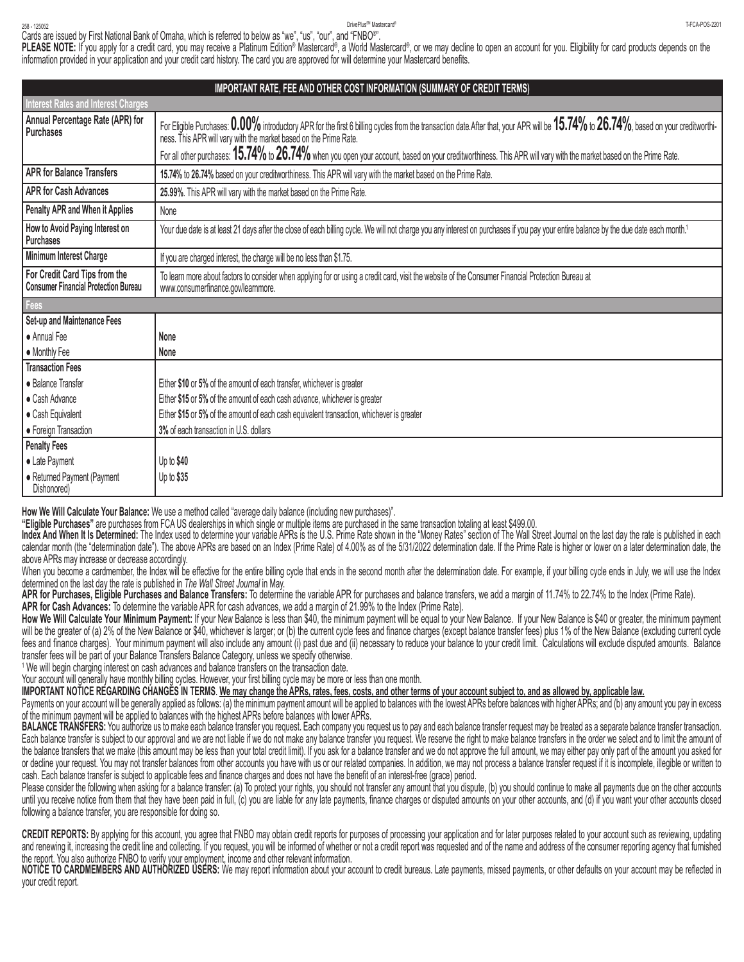**●** Returned Payment (Payment Dishonored)

PLEASE NOTE: If you apply for a credit card, you may receive a Platinum Edition® Mastercard®, a World Mastercard®, or we may decline to open an account for you. Eligibility for card products depends on the information provided in your application and your credit card history. The card you are approved for will determine your Mastercard benefits. Cards are issued by First National Bank of Omaha, which is referred to below as "we", "us", "our", and "FNBO®".

| IMPORTANT RATE, FEE AND OTHER COST INFORMATION (SUMMARY OF CREDIT TERMS)     |                                                                                                                                                                                                                                                                                                                                                                                                     |
|------------------------------------------------------------------------------|-----------------------------------------------------------------------------------------------------------------------------------------------------------------------------------------------------------------------------------------------------------------------------------------------------------------------------------------------------------------------------------------------------|
| Interest Rates and Interest Charges                                          |                                                                                                                                                                                                                                                                                                                                                                                                     |
| Annual Percentage Rate (APR) for<br><b>Purchases</b>                         | For Eligible Purchases: 0.00% introductory APR for the first 6 billing cycles from the transaction date.After that, your APR will be 15.74% to 26.74%, based on your creditworthiness. This APR will vary with the market base<br>For all other purchases: 15.74% to 26.74% when you open your account, based on your creditworthiness. This APR will vary with the market based on the Prime Rate. |
| <b>APR for Balance Transfers</b>                                             | 15.74% to 26.74% based on your creditworthiness. This APR will vary with the market based on the Prime Rate.                                                                                                                                                                                                                                                                                        |
| <b>APR for Cash Advances</b>                                                 | 25.99%. This APR will vary with the market based on the Prime Rate.                                                                                                                                                                                                                                                                                                                                 |
| Penalty APR and When it Applies                                              | None                                                                                                                                                                                                                                                                                                                                                                                                |
| How to Avoid Paying Interest on<br><b>Purchases</b>                          | Your due date is at least 21 days after the close of each billing cycle. We will not charge you any interest on purchases if you pay your entire balance by the due date each month. <sup>1</sup>                                                                                                                                                                                                   |
| Minimum Interest Charge                                                      | If you are charged interest, the charge will be no less than \$1.75.                                                                                                                                                                                                                                                                                                                                |
| For Credit Card Tips from the<br><b>Consumer Financial Protection Bureau</b> | To learn more about factors to consider when applying for or using a credit card, visit the website of the Consumer Financial Protection Bureau at<br>www.consumerfinance.gov/learnmore.                                                                                                                                                                                                            |
| Fees                                                                         |                                                                                                                                                                                                                                                                                                                                                                                                     |
| Set-up and Maintenance Fees                                                  |                                                                                                                                                                                                                                                                                                                                                                                                     |
| • Annual Fee                                                                 | None                                                                                                                                                                                                                                                                                                                                                                                                |
| • Monthly Fee                                                                | None                                                                                                                                                                                                                                                                                                                                                                                                |
| <b>Transaction Fees</b>                                                      |                                                                                                                                                                                                                                                                                                                                                                                                     |
| • Balance Transfer                                                           | Either \$10 or 5% of the amount of each transfer, whichever is greater                                                                                                                                                                                                                                                                                                                              |
| Cash Advance                                                                 | Either \$15 or 5% of the amount of each cash advance, whichever is greater                                                                                                                                                                                                                                                                                                                          |
| • Cash Equivalent                                                            | Either \$15 or 5% of the amount of each cash equivalent transaction, whichever is greater                                                                                                                                                                                                                                                                                                           |
| • Foreign Transaction                                                        | 3% of each transaction in U.S. dollars                                                                                                                                                                                                                                                                                                                                                              |
| <b>Penalty Fees</b>                                                          |                                                                                                                                                                                                                                                                                                                                                                                                     |
| • Late Payment                                                               | Up to $$40$                                                                                                                                                                                                                                                                                                                                                                                         |

**How We Will Calculate Your Balance:** We use a method called "average daily balance (including new purchases)".

Up to **\$35**

**"Eligible Purchases"** are purchases from FCA US dealerships in which single or multiple items are purchased in the same transaction totaling at least \$499.00.

**Index And When It Is Determined:** The Index used to determine your variable APRs is the U.S. Prime Rate shown in the "Money Rates" section of The Wall Street Journal on the last day the rate is published in each calendar month (the "determination date"). The above APRs are based on an Index (Prime Rate) of 4.00% as of the 5/31/2022 determination date. If the Prime Rate is higher or lower on a later determination date, the above APRs may increase or decrease accordingly.

When you become a cardmember, the Index will be effective for the entire billing cycle that ends in the second month after the determination date. For example, if your billing cycle ends in July, we will use the Index determined on the last day the rate is published in *The Wall Street Journal* in May.

**APR for Purchases, Eligible Purchases and Balance Transfers:** To determine the variable APR for purchases and balance transfers, we add a margin of 11.74% to 22.74% to the Index (Prime Rate).

**APR for Cash Advances:** To determine the variable APR for cash advances, we add a margin of 21.99% to the Index (Prime Rate).

How We Will Calculate Your Minimum Payment: If your New Balance is less than \$40, the minimum payment will be equal to your New Balance. If your New Balance is \$40 or greater, the minimum payment will be the greater of (a) 2% of the New Balance or \$40, whichever is larger; or (b) the current cycle fees and finance charges (except balance transfer fees) plus 1% of the New Balance (excluding current cycle fees and finance charges). Your minimum payment will also include any amount (i) past due and (ii) necessary to reduce your balance to your credit limit. Calculations will exclude disputed amounts. Balance transfer fees will be part of your Balance Transfers Balance Category, unless we specify otherwise.

<sup>1</sup> We will begin charging interest on cash advances and balance transfers on the transaction date.

Your account will generally have monthly billing cycles. However, your first billing cycle may be more or less than one month.

**IMPORTANT NOTICE REGARDING CHANGES IN TERMS**. **We may change the APRs, rates, fees, costs, and other terms of your account subject to, and as allowed by, applicable law.**

Payments on your account will be generally applied as follows: (a) the minimum payment amount will be applied to balances with the lowest APRs before balances with higher APRs; and (b) any amount you pay in excess of the minimum payment will be applied to balances with the highest APRs before balances with lower APRs.

BALANCE TRANSFERS: You authorize us to make each balance transfer you request. Each company you request us to pay and each balance transfer request may be treated as a separate balance transfer transaction. Each balance transfer is subject to our approval and we are not liable if we do not make any balance transfer you request. We reserve the right to make balance transfers in the order we select and to limit the amount of the balance transfers that we make (this amount may be less than your total credit limit). If you ask for a balance transfer and we do not approve the full amount, we may either pay only part of the amount you asked for or decline your request. You may not transfer balances from other accounts you have with us or our related companies. In addition, we may not process a balance transfer request if it is incomplete, illegible or written to cash. Each balance transfer is subject to applicable fees and finance charges and does not have the benefit of an interest-free (grace) period.

Please consider the following when asking for a balance transfer: (a) To protect your rights, you should not transfer any amount that you dispute, (b) you should continue to make all payments due on the other accounts until you receive notice from them that they have been paid in full, (c) you are liable for any late payments, finance charges or disputed amounts on your other accounts, and (d) if you want your other accounts closed following a balance transfer, you are responsible for doing so.

CREDIT REPORTS: By applying for this account, you agree that FNBO may obtain credit reports for purposes of processing your application and for later purposes related to your account such as reviewing, updating and renewing it, increasing the credit line and collecting. If you request, you will be informed of whether or not a credit report was requested and of the name and address of the consumer reporting agency that furnished the report. You also authorize FNBO to verify your employment, income and other relevant information.

**NOTICE TO CARDMEMBERS AND AUTHORIZED USERS:** We may report information about your account to credit bureaus. Late payments, missed payments, or other defaults on your account may be reflected in your credit report.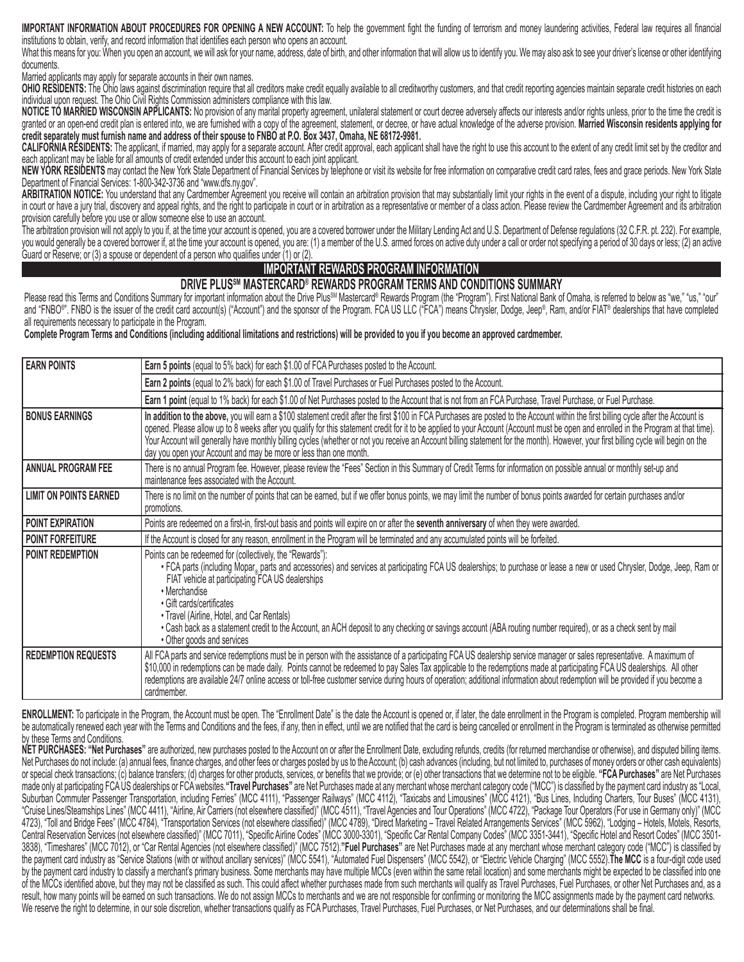**IMPORTANT INFORMATION ABOUT PROCEDURES FOR OPENING A NEW ACCOUNT:** To help the government fight the funding of terrorism and money laundering activities, Federal law requires all financial institutions to obtain, verify, and record information that identifies each person who opens an account.

What this means for you: When you open an account, we will ask for your name, address, date of birth, and other information that will allow us to identify you. We may also ask to see your driver's license or other identify documents.

Married applicants may apply for separate accounts in their own names.

OHIO RESIDENTS: The Ohio laws against discrimination require that all creditors make credit equally available to all creditworthy customers, and that credit reporting agencies maintain separate credit histories on each individual upon request. The Ohio Civil Rights Commission administers compliance with this law.

**NOTICE TO MARRIED WISCONSIN APPLICANTS:** No provision of any marital property agreement, unilateral statement or court decree adversely affects our interests and/or rights unless, prior to the time the credit is granted or an open-end credit plan is entered into, we are furnished with a copy of the agreement, statement, or decree, or have actual knowledge of the adverse provision. **Married Wisconsin residents applying for credit separately must furnish name and address of their spouse to FNBO at P.O. Box 3437, Omaha, NE 68172-9981.**

CALIFORNIA RESIDENTS: The applicant, if married, may apply for a separate account. After credit approval, each applicant shall have the right to use this account to the extent of any credit limit set by the creditor and each applicant may be liable for all amounts of credit extended under this account to each joint applicant.

**NEW YORK RESIDENTS** may contact the New York State Department of Financial Services by telephone or visit its website for free information on comparative credit card rates, fees and grace periods. New York State Department of Financial Services: 1-800-342-3736 and "www.dfs.ny.gov".

**ARBITRATION NOTICE:** You understand that any Cardmember Agreement you receive will contain an arbitration provision that may substantially limit your rights in the event of a dispute, including your right to litigate in court or have a jury trial, discovery and appeal rights, and the right to participate in court or in arbitration as a representative or member of a class action. Please review the Cardmember Agreement and its arbitratio provision carefully before you use or allow someone else to use an account.

The arbitration provision will not apply to you if, at the time your account is opened, you are a covered borrower under the Military Lending Act and U.S. Department of Defense regulations (32 C.F.R. pt. 232). For example, you would generally be a covered borrower if, at the time your account is opened, you are: (1) a member of the U.S. armed forces on active duty under a call or order not specifying a period of 30 days or less; (2) an active Guard or Reserve; or (3) a spouse or dependent of a person who qualifies under (1) or (2).

## **IMPORTANT REWARDS PROGRAM INFORMATION**

## **DRIVE PLUSSM MASTERCARD® REWARDS PROGRAM TERMS AND CONDITIONS SUMMARY**

Please read this Terms and Conditions Summary for important information about the Drive Plus<sup>SM</sup> Mastercard® Rewards Program (the "Program"). First National Bank of Omaha, is referred to below as "we," "us," "our" and "FNBO®". FNBO is the issuer of the credit card account(s) ("Account") and the sponsor of the Program. FCA US LLC ("FCA") means Chrysler, Dodge, Jeep®, Ram, and/or FIAT® dealerships that have completed all requirements necessary to participate in the Program.

## **Complete Program Terms and Conditions (including additional limitations and restrictions) will be provided to you if you become an approved cardmember.**

| <b>EARN POINTS</b>            | Earn 5 points (equal to 5% back) for each \$1.00 of FCA Purchases posted to the Account.                                                                                                                                                                                                                                                                                                                                                                                                                                                                                                                                                   |
|-------------------------------|--------------------------------------------------------------------------------------------------------------------------------------------------------------------------------------------------------------------------------------------------------------------------------------------------------------------------------------------------------------------------------------------------------------------------------------------------------------------------------------------------------------------------------------------------------------------------------------------------------------------------------------------|
|                               | Earn 2 points (equal to 2% back) for each \$1.00 of Travel Purchases or Fuel Purchases posted to the Account.                                                                                                                                                                                                                                                                                                                                                                                                                                                                                                                              |
|                               | Earn 1 point (equal to 1% back) for each \$1.00 of Net Purchases posted to the Account that is not from an FCA Purchase, Travel Purchase, or Fuel Purchase.                                                                                                                                                                                                                                                                                                                                                                                                                                                                                |
| <b>BONUS EARNINGS</b>         | In addition to the above, you will earn a \$100 statement credit after the first \$100 in FCA Purchases are posted to the Account within the first billing cycle after the Account is<br>opened. Please allow up to 8 weeks after you qualify for this statement credit for it to be applied to your Account (Account must be open and enrolled in the Program at that time).<br>Your Account will generally have monthly billing cycles (whether or not you receive an Account billing statement for the month). However, your first billing cycle will begin on the<br>day you open your Account and may be more or less than one month. |
| ANNUAL PROGRAM FEE            | There is no annual Program fee. However, please review the "Fees" Section in this Summary of Credit Terms for information on possible annual or monthly set-up and<br>maintenance fees associated with the Account.                                                                                                                                                                                                                                                                                                                                                                                                                        |
| <b>LIMIT ON POINTS EARNED</b> | There is no limit on the number of points that can be earned, but if we offer bonus points, we may limit the number of bonus points awarded for certain purchases and/or<br>promotions.                                                                                                                                                                                                                                                                                                                                                                                                                                                    |
| <b>POINT EXPIRATION</b>       | Points are redeemed on a first-in, first-out basis and points will expire on or after the seventh anniversary of when they were awarded.                                                                                                                                                                                                                                                                                                                                                                                                                                                                                                   |
| POINT FORFEITURE              | If the Account is closed for any reason, enrollment in the Program will be terminated and any accumulated points will be forfeited.                                                                                                                                                                                                                                                                                                                                                                                                                                                                                                        |
| POINT REDEMPTION              | Points can be redeemed for (collectively, the "Rewards"):<br>. FCA parts (including Mopar, parts and accessories) and services at participating FCA US dealerships; to purchase or lease a new or used Chrysler, Dodge, Jeep, Ram or<br>FIAT vehicle at participating FCA US dealerships<br>• Merchandise<br>• Gift cards/certificates<br>• Travel (Airline, Hotel, and Car Rentals)<br>• Cash back as a statement credit to the Account, an ACH deposit to any checking or savings account (ABA routing number required), or as a check sent by mail<br>• Other goods and services                                                        |
| <b>REDEMPTION REQUESTS</b>    | All FCA parts and service redemptions must be in person with the assistance of a participating FCA US dealership service manager or sales representative. A maximum of<br>\$10,000 in redemptions can be made daily. Points cannot be redeemed to pay Sales Tax applicable to the redemptions made at participating FCA US dealerships. All other<br>redemptions are available 24/7 online access or toll-free customer service during hours of operation; additional information about redemption will be provided if you become a<br>cardmember.                                                                                         |

**ENROLLMENT:** To participate in the Program, the Account must be open. The "Enrollment Date" is the date the Account is opened or, if later, the date enrollment in the Program is completed. Program membership will be automatically renewed each year with the Terms and Conditions and the fees, if any, then in effect, until we are notified that the card is being cancelled or enrollment in the Program is terminated as otherwise permitte by these Terms and Conditions.

**NET PURCHASES: "Net Purchases"** are authorized, new purchases posted to the Account on or after the Enrollment Date, excluding refunds, credits (for returned merchandise or otherwise), and disputed billing items. Net Purchases do not include: (a) annual fees, finance charges, and other fees or charges posted by us to the Account; (b) cash advances (including, but not limited to, purchases of money orders or other cash equivalents) or special check transactions; (c) balance transfers; (d) charges for other products, services, or benefits that we provide; or (e) other transactions that we determine not to be eligible. "FCA Purchases" are Net Purchases made only at participating FCA US dealerships or FCA websites."Travel Purchases" are Net Purchases made at any merchant whose merchant category code ("MCC") is classified by the payment card industry as "Local, Suburban Commuter Passenger Transportation, including Ferries" (MCC 4111), "Passenger Railways" (MCC 4112), "Taxicabs and Limousines" (MCC 4121), "Bus Lines, Including Charters, Tour Buses" (MCC 4131), "Cruise Lines/Steamships Lines" (MCC 4411), "Airline, Air Carriers (not elsewhere classified)" (MCC 4511), "Travel Agencies and Tour Operations" (MCC 4722), "Package Tour Operators (For use in Germany only)" (MCC 4723), "Toll and Bridge Fees" (MCC 4784), "Transportation Services (not elsewhere classified)" (MCC 4789), "Direct Marketing – Travel Related Arrangements Services" (MCC 5962), "Lodging – Hotels, Motels, Resorts, Central Reservation Services (not elsewhere classified)" (MCC 7011), "Specific Airline Codes" (MCC 3000-3301), "Specific Car Rental Company Codes" (MCC 3351-3441), "Specific Hotel and Resort Codes" (MCC 3501- 3838), "Timeshares" (MCC 7012), or "Car Rental Agencies (not elsewhere classified)" (MCC 7512).**"Fuel Purchases"** are Net Purchases made at any merchant whose merchant category code ("MCC") is classified by the payment card industry as "Service Stations (with or without ancillary services)" (MCC 5541), "Automated Fuel Dispensers" (MCC 5542), or "Electric Vehicle Charging" (MCC 5552).**The MCC** is a four-digit code used by the payment card industry to classify a merchant's primary business. Some merchants may have multiple MCCs (even within the same retail location) and some merchants might be expected to be classified into one of the MCCs identified above, but they may not be classified as such. This could affect whether purchases made from such merchants will qualify as Travel Purchases, Fuel Purchases, or other Net Purchases and, as a result, how many points will be earned on such transactions. We do not assign MCCs to merchants and we are not responsible for confirming or monitoring the MCC assignments made by the payment card networks. We reserve the right to determine, in our sole discretion, whether transactions qualify as FCA Purchases, Travel Purchases, Fuel Purchases, or Net Purchases, and our determinations shall be final.